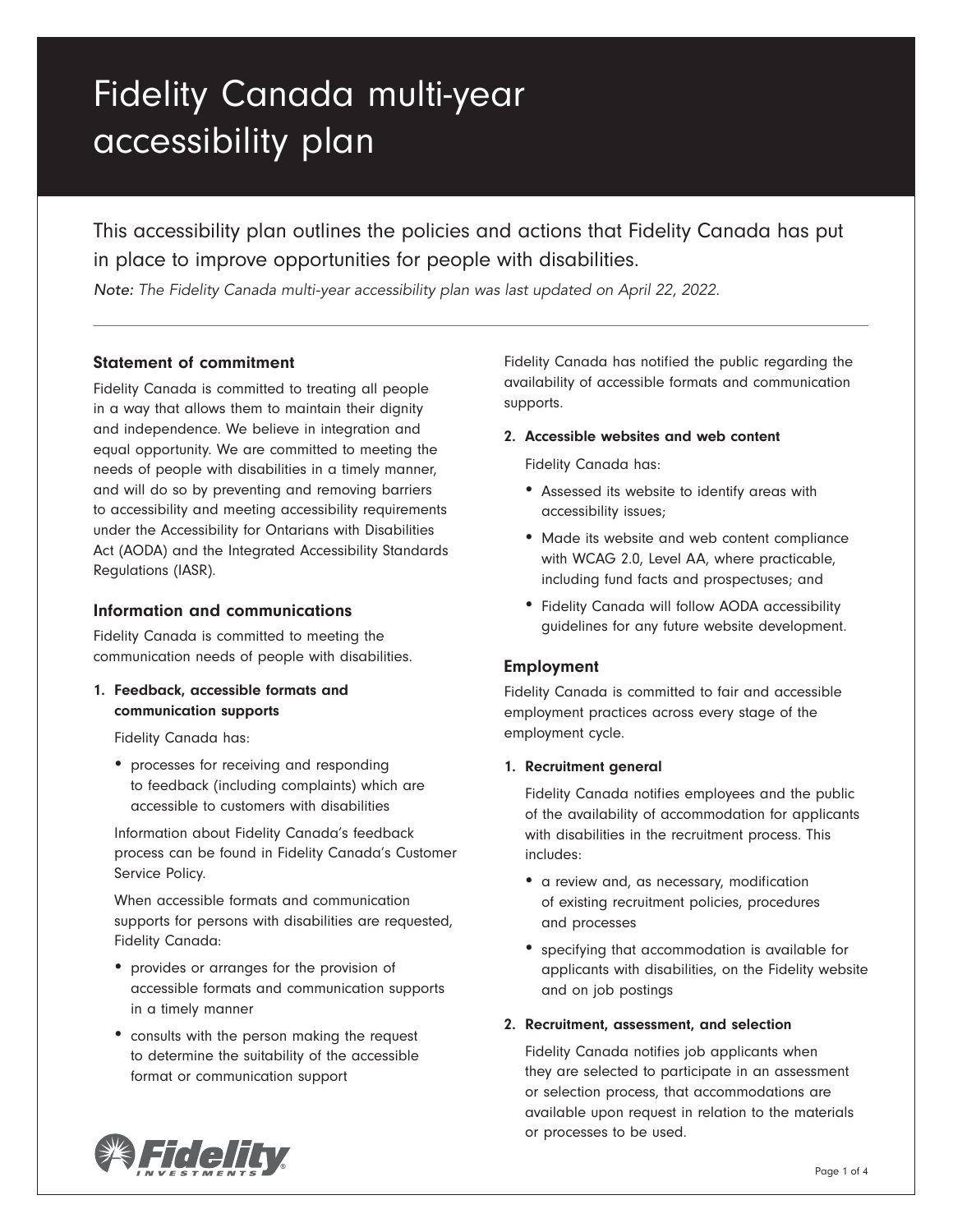# Fidelity Canada multi-year accessibility plan

This accessibility plan outlines the policies and actions that Fidelity Canada has put in place to improve opportunities for people with disabilities.

*Note: The Fidelity Canada multi-year accessibility plan was last updated on April 22, 2022.*

# Statement of commitment

Fidelity Canada is committed to treating all people in a way that allows them to maintain their dignity and independence. We believe in integration and equal opportunity. We are committed to meeting the needs of people with disabilities in a timely manner, and will do so by preventing and removing barriers to accessibility and meeting accessibility requirements under the Accessibility for Ontarians with Disabilities Act (AODA) and the Integrated Accessibility Standards Regulations (IASR).

# Information and communications

Fidelity Canada is committed to meeting the communication needs of people with disabilities.

1. Feedback, accessible formats and communication supports

Fidelity Canada has:

• processes for receiving and responding to feedback (including complaints) which are accessible to customers with disabilities

Information about Fidelity Canada's feedback process can be found in Fidelity Canada's Customer Service Policy.

When accessible formats and communication supports for persons with disabilities are requested, Fidelity Canada:

- provides or arranges for the provision of accessible formats and communication supports in a timely manner
- consults with the person making the request to determine the suitability of the accessible format or communication support

Fidelity Canada has notified the public regarding the availability of accessible formats and communication supports.

## 2. Accessible websites and web content

Fidelity Canada has:

- Assessed its website to identify areas with accessibility issues;
- Made its website and web content compliance with WCAG 2.0, Level AA, where practicable, including fund facts and prospectuses; and
- Fidelity Canada will follow AODA accessibility guidelines for any future website development.

# Employment

Fidelity Canada is committed to fair and accessible employment practices across every stage of the employment cycle.

# 1. Recruitment general

Fidelity Canada notifies employees and the public of the availability of accommodation for applicants with disabilities in the recruitment process. This includes:

- a review and, as necessary, modification of existing recruitment policies, procedures and processes
- specifying that accommodation is available for applicants with disabilities, on the Fidelity website and on job postings

# 2. Recruitment, assessment, and selection

Fidelity Canada notifies job applicants when they are selected to participate in an assessment or selection process, that accommodations are available upon request in relation to the materials or processes to be used.

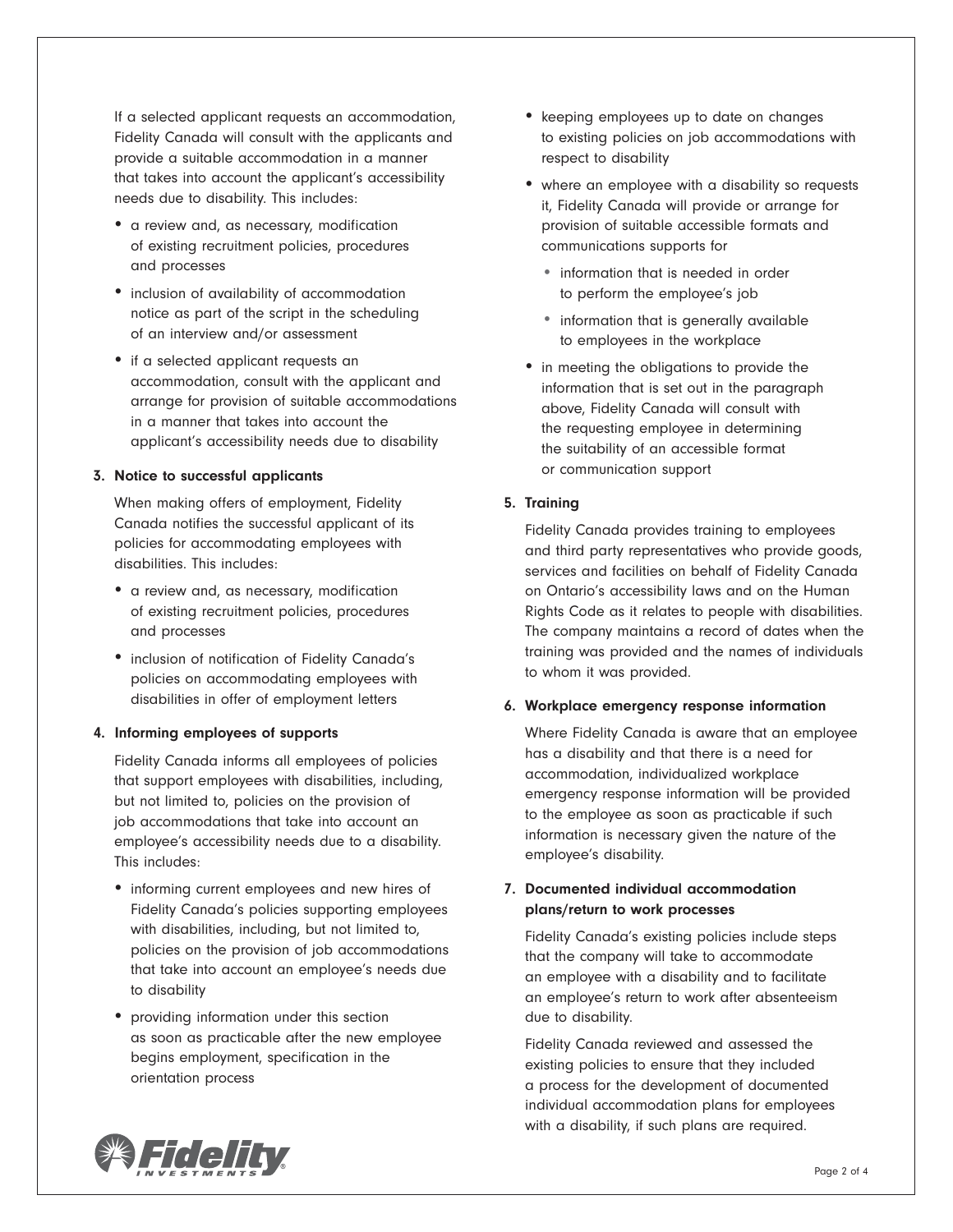If a selected applicant requests an accommodation, Fidelity Canada will consult with the applicants and provide a suitable accommodation in a manner that takes into account the applicant's accessibility needs due to disability. This includes:

- a review and, as necessary, modification of existing recruitment policies, procedures and processes
- inclusion of availability of accommodation notice as part of the script in the scheduling of an interview and/or assessment
- if a selected applicant requests an accommodation, consult with the applicant and arrange for provision of suitable accommodations in a manner that takes into account the applicant's accessibility needs due to disability

#### 3. Notice to successful applicants

When making offers of employment, Fidelity Canada notifies the successful applicant of its policies for accommodating employees with disabilities. This includes:

- a review and, as necessary, modification of existing recruitment policies, procedures and processes
- inclusion of notification of Fidelity Canada's policies on accommodating employees with disabilities in offer of employment letters

#### 4. Informing employees of supports

Fidelity Canada informs all employees of policies that support employees with disabilities, including, but not limited to, policies on the provision of job accommodations that take into account an employee's accessibility needs due to a disability. This includes:

- informing current employees and new hires of Fidelity Canada's policies supporting employees with disabilities, including, but not limited to, policies on the provision of job accommodations that take into account an employee's needs due to disability
- providing information under this section as soon as practicable after the new employee begins employment, specification in the orientation process
- keeping employees up to date on changes to existing policies on job accommodations with respect to disability
- where an employee with a disability so requests it, Fidelity Canada will provide or arrange for provision of suitable accessible formats and communications supports for
	- information that is needed in order to perform the employee's job
	- information that is generally available to employees in the workplace
- in meeting the obligations to provide the information that is set out in the paragraph above, Fidelity Canada will consult with the requesting employee in determining the suitability of an accessible format or communication support

## 5. Training

Fidelity Canada provides training to employees and third party representatives who provide goods, services and facilities on behalf of Fidelity Canada on Ontario's accessibility laws and on the Human Rights Code as it relates to people with disabilities. The company maintains a record of dates when the training was provided and the names of individuals to whom it was provided.

#### 6. Workplace emergency response information

Where Fidelity Canada is aware that an employee has a disability and that there is a need for accommodation, individualized workplace emergency response information will be provided to the employee as soon as practicable if such information is necessary given the nature of the employee's disability.

# 7. Documented individual accommodation plans/return to work processes

Fidelity Canada's existing policies include steps that the company will take to accommodate an employee with a disability and to facilitate an employee's return to work after absenteeism due to disability.

Fidelity Canada reviewed and assessed the existing policies to ensure that they included a process for the development of documented individual accommodation plans for employees with a disability, if such plans are required.

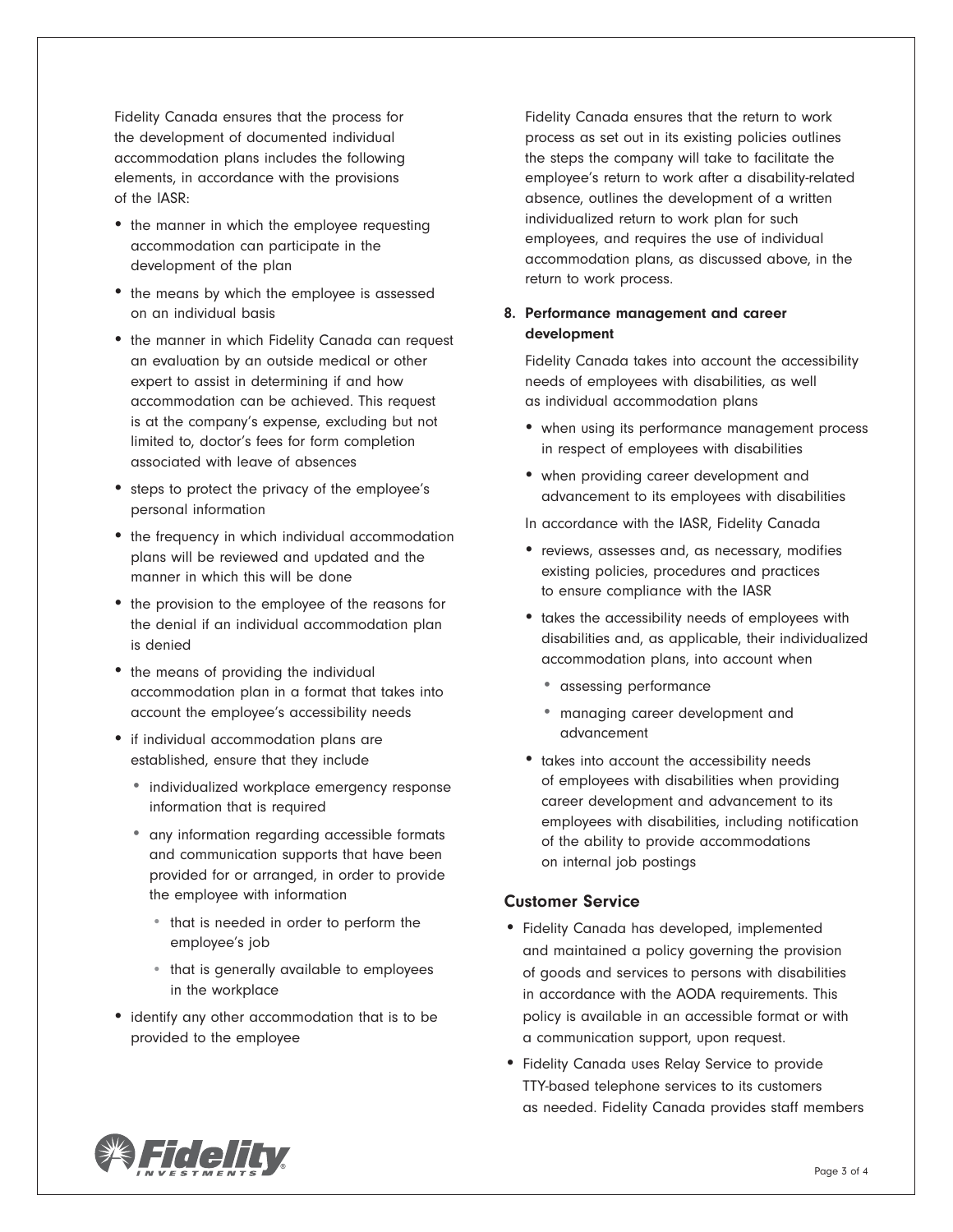Fidelity Canada ensures that the process for the development of documented individual accommodation plans includes the following elements, in accordance with the provisions of the IASR:

- the manner in which the employee requesting accommodation can participate in the development of the plan
- the means by which the employee is assessed on an individual basis
- the manner in which Fidelity Canada can request an evaluation by an outside medical or other expert to assist in determining if and how accommodation can be achieved. This request is at the company's expense, excluding but not limited to, doctor's fees for form completion associated with leave of absences
- steps to protect the privacy of the employee's personal information
- the frequency in which individual accommodation plans will be reviewed and updated and the manner in which this will be done
- the provision to the employee of the reasons for the denial if an individual accommodation plan is denied
- the means of providing the individual accommodation plan in a format that takes into account the employee's accessibility needs
- if individual accommodation plans are established, ensure that they include
	- individualized workplace emergency response information that is required
	- any information regarding accessible formats and communication supports that have been provided for or arranged, in order to provide the employee with information
		- that is needed in order to perform the employee's job
		- that is generally available to employees in the workplace
- identify any other accommodation that is to be provided to the employee

Fidelity Canada ensures that the return to work process as set out in its existing policies outlines the steps the company will take to facilitate the employee's return to work after a disability-related absence, outlines the development of a written individualized return to work plan for such employees, and requires the use of individual accommodation plans, as discussed above, in the return to work process.

## 8. Performance management and career development

Fidelity Canada takes into account the accessibility needs of employees with disabilities, as well as individual accommodation plans

- when using its performance management process in respect of employees with disabilities
- when providing career development and advancement to its employees with disabilities
- In accordance with the IASR, Fidelity Canada
- reviews, assesses and, as necessary, modifies existing policies, procedures and practices to ensure compliance with the IASR
- takes the accessibility needs of employees with disabilities and, as applicable, their individualized accommodation plans, into account when
	- assessing performance
	- managing career development and advancement
- takes into account the accessibility needs of employees with disabilities when providing career development and advancement to its employees with disabilities, including notification of the ability to provide accommodations on internal job postings

# Customer Service

- Fidelity Canada has developed, implemented and maintained a policy governing the provision of goods and services to persons with disabilities in accordance with the AODA requirements. This policy is available in an accessible format or with a communication support, upon request.
- Fidelity Canada uses Relay Service to provide TTY-based telephone services to its customers as needed. Fidelity Canada provides staff members